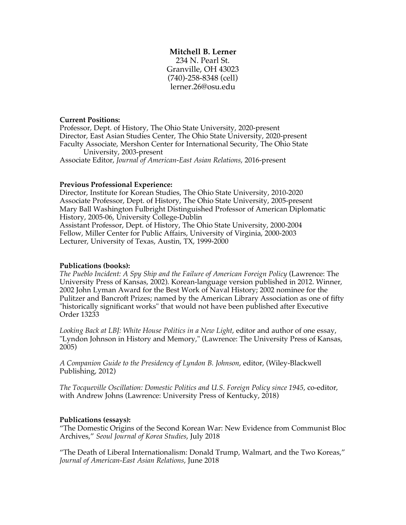# **Mitchell B. Lerner**

234 N. Pearl St. Granville, OH 43023 (740)-258-8348 (cell) lerner.26@osu.edu

## **Current Positions:**

Professor, Dept. of History, The Ohio State University, 2020-present Director, East Asian Studies Center, The Ohio State University, 2020-present Faculty Associate, Mershon Center for International Security, The Ohio State University, 2003-present

Associate Editor, *Journal of American-East Asian Relations*, 2016-present

# **Previous Professional Experience:**

Director, Institute for Korean Studies, The Ohio State University, 2010-2020 Associate Professor, Dept. of History, The Ohio State University, 2005-present Mary Ball Washington Fulbright Distinguished Professor of American Diplomatic History, 2005-06, University College-Dublin Assistant Professor, Dept. of History, The Ohio State University, 2000-2004 Fellow, Miller Center for Public Affairs, University of Virginia, 2000-2003 Lecturer, University of Texas, Austin, TX, 1999-2000

## **Publications (books):**

*The Pueblo Incident: A Spy Ship and the Failure of American Foreign Policy* (Lawrence: The University Press of Kansas, 2002). Korean-language version published in 2012. Winner, 2002 John Lyman Award for the Best Work of Naval History; 2002 nominee for the Pulitzer and Bancroft Prizes; named by the American Library Association as one of fifty "historically significant works" that would not have been published after Executive Order 13233

*Looking Back at LBJ: White House Politics in a New Light*, editor and author of one essay, "Lyndon Johnson in History and Memory," (Lawrence: The University Press of Kansas, 2005)

*A Companion Guide to the Presidency of Lyndon B. Johnson*, editor, (Wiley-Blackwell Publishing, 2012)

*The Tocqueville Oscillation: Domestic Politics and U.S. Foreign Policy since 1945*, co-editor, with Andrew Johns (Lawrence: University Press of Kentucky, 2018)

# **Publications (essays):**

"The Domestic Origins of the Second Korean War: New Evidence from Communist Bloc Archives," *Seoul Journal of Korea Studies*, July 2018

"The Death of Liberal Internationalism: Donald Trump, Walmart, and the Two Koreas," *Journal of American-East Asian Relations*, June 2018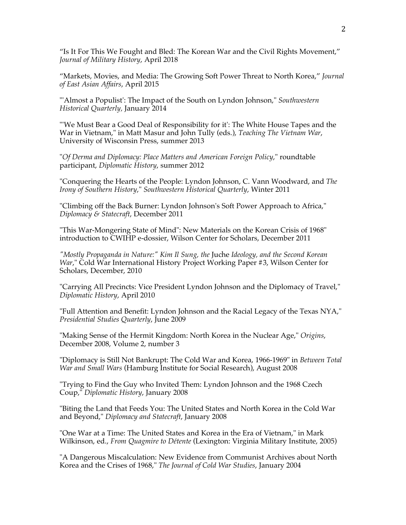"Is It For This We Fought and Bled: The Korean War and the Civil Rights Movement," *Journal of Military History*, April 2018

"Markets, Movies, and Media: The Growing Soft Power Threat to North Korea," *Journal of East Asian Affairs*, April 2015

"'Almost a Populist': The Impact of the South on Lyndon Johnson," *Southwestern Historical Quarterly,* January 2014

"'We Must Bear a Good Deal of Responsibility for it': The White House Tapes and the War in Vietnam," in Matt Masur and John Tully (eds.), *Teaching The Vietnam War*, University of Wisconsin Press, summer 2013

"*Of Derma and Diplomacy: Place Matters and American Foreign Policy*," roundtable participant, *Diplomatic History*, summer 2012

"Conquering the Hearts of the People: Lyndon Johnson, C. Vann Woodward, and *The Irony of Southern History*," *Southwestern Historical Quarterly*, Winter 2011

"Climbing off the Back Burner: Lyndon Johnson's Soft Power Approach to Africa," *Diplomacy & Statecraft*, December 2011

"This War-Mongering State of Mind": New Materials on the Korean Crisis of 1968" introduction to CWIHP e-dossier, Wilson Center for Scholars, December 2011

*"Mostly Propaganda in Nature:" Kim Il Sung, the* Juche *Ideology, and the Second Korean War*," Cold War International History Project Working Paper #3, Wilson Center for Scholars, December, 2010

"Carrying All Precincts: Vice President Lyndon Johnson and the Diplomacy of Travel," *Diplomatic History*, April 2010

"Full Attention and Benefit: Lyndon Johnson and the Racial Legacy of the Texas NYA," *Presidential Studies Quarterly*, June 2009

"Making Sense of the Hermit Kingdom: North Korea in the Nuclear Age," *Origins*, December 2008, Volume 2, number 3

"Diplomacy is Still Not Bankrupt: The Cold War and Korea, 1966-1969" in *Between Total War and Small Wars* (Hamburg Institute for Social Research), August 2008

"Trying to Find the Guy who Invited Them: Lyndon Johnson and the 1968 Czech Coup," *Diplomatic History*, January 2008

"Biting the Land that Feeds You: The United States and North Korea in the Cold War and Beyond," *Diplomacy and Statecraft*, January 2008

"One War at a Time: The United States and Korea in the Era of Vietnam," in Mark Wilkinson, ed., *From Quagmire to Détente* (Lexington: Virginia Military Institute, 2005)

"A Dangerous Miscalculation: New Evidence from Communist Archives about North Korea and the Crises of 1968," *The Journal of Cold War Studies*, January 2004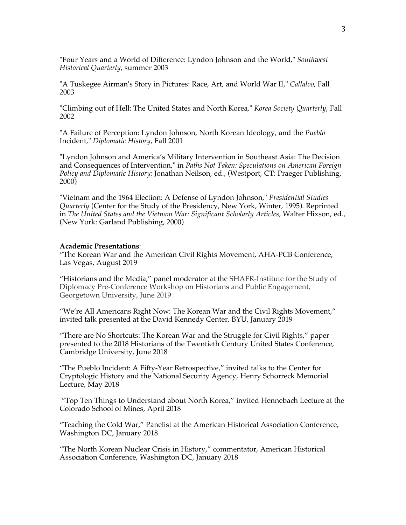"Four Years and a World of Difference: Lyndon Johnson and the World," *Southwest Historical Quarterly*, summer 2003

"A Tuskegee Airman's Story in Pictures: Race, Art, and World War II," *Callaloo*, Fall 2003

"Climbing out of Hell: The United States and North Korea*,*" *Korea Society Quarterly*, Fall 2002

"A Failure of Perception: Lyndon Johnson, North Korean Ideology, and the *Pueblo* Incident," *Diplomatic History*, Fall 2001

"Lyndon Johnson and America's Military Intervention in Southeast Asia: The Decision and Consequences of Intervention," in *Paths Not Taken: Speculations on American Foreign Policy and Diplomatic History:* Jonathan Neilson, ed., (Westport, CT: Praeger Publishing, 2000)

"Vietnam and the 1964 Election: A Defense of Lyndon Johnson," *Presidential Studies Quarterly* (Center for the Study of the Presidency, New York, Winter, 1995). Reprinted in *The United States and the Vietnam War: Significant Scholarly Articles*, Walter Hixson, ed., (New York: Garland Publishing, 2000)

#### **Academic Presentations**:

"The Korean War and the American Civil Rights Movement, AHA-PCB Conference, Las Vegas, August 2019

"Historians and the Media," panel moderator at the SHAFR-Institute for the Study of Diplomacy Pre-Conference Workshop on Historians and Public Engagement, Georgetown University, June 2019

"We're All Americans Right Now: The Korean War and the Civil Rights Movement," invited talk presented at the David Kennedy Center, BYU, January 2019

"There are No Shortcuts: The Korean War and the Struggle for Civil Rights," paper presented to the 2018 Historians of the Twentieth Century United States Conference, Cambridge University, June 2018

"The Pueblo Incident: A Fifty-Year Retrospective," invited talks to the Center for Cryptologic History and the National Security Agency, Henry Schorreck Memorial Lecture, May 2018

"Top Ten Things to Understand about North Korea," invited Hennebach Lecture at the Colorado School of Mines, April 2018

"Teaching the Cold War," Panelist at the American Historical Association Conference, Washington DC, January 2018

"The North Korean Nuclear Crisis in History," commentator, American Historical Association Conference, Washington DC, January 2018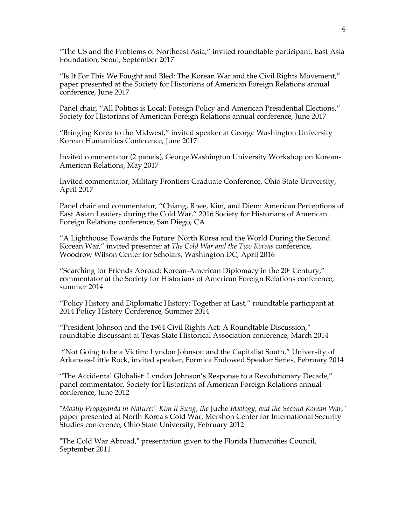"The US and the Problems of Northeast Asia," invited roundtable participant, East Asia Foundation, Seoul, September 2017

"Is It For This We Fought and Bled: The Korean War and the Civil Rights Movement," paper presented at the Society for Historians of American Foreign Relations annual conference, June 2017

Panel chair, "All Politics is Local: Foreign Policy and American Presidential Elections," Society for Historians of American Foreign Relations annual conference, June 2017

"Bringing Korea to the Midwest," invited speaker at George Washington University Korean Humanities Conference, June 2017

Invited commentator (2 panels), George Washington University Workshop on Korean-American Relations, May 2017

Invited commentator, Military Frontiers Graduate Conference, Ohio State University, April 2017

Panel chair and commentator, "Chiang, Rhee, Kim, and Diem: American Perceptions of East Asian Leaders during the Cold War," 2016 Society for Historians of American Foreign Relations conference, San Diego, CA

"A Lighthouse Towards the Future: North Korea and the World During the Second Korean War," invited presenter at *The Cold War and the Two Koreas* conference, Woodrow Wilson Center for Scholars, Washington DC, April 2016

"Searching for Friends Abroad: Korean-American Diplomacy in the  $20<sup>th</sup>$  Century," commentator at the Society for Historians of American Foreign Relations conference, summer 2014

"Policy History and Diplomatic History: Together at Last," roundtable participant at 2014 Policy History Conference, Summer 2014

"President Johnson and the 1964 Civil Rights Act: A Roundtable Discussion," roundtable discussant at Texas State Historical Association conference, March 2014

"Not Going to be a Victim: Lyndon Johnson and the Capitalist South," University of Arkansas-Little Rock, invited speaker, Formica Endowed Speaker Series, February 2014

"The Accidental Globalist: Lyndon Johnson's Response to a Revolutionary Decade," panel commentator, Society for Historians of American Foreign Relations annual conference, June 2012

"*Mostly Propaganda in Nature:" Kim Il Sung, the* Juche *Ideology, and the Second Korean War*," paper presented at North Korea's Cold War, Mershon Center for International Security Studies conference, Ohio State University, February 2012

"The Cold War Abroad," presentation given to the Florida Humanities Council, September 2011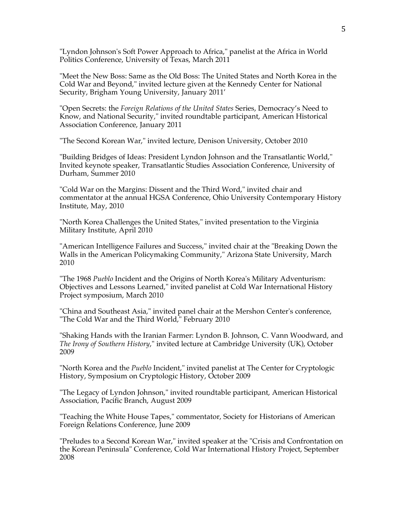"Lyndon Johnson's Soft Power Approach to Africa," panelist at the Africa in World Politics Conference, University of Texas, March 2011

"Meet the New Boss: Same as the Old Boss: The United States and North Korea in the Cold War and Beyond," invited lecture given at the Kennedy Center for National Security, Brigham Young University, January 2011'

"Open Secrets: the *Foreign Relations of the United States* Series, Democracy's Need to Know, and National Security," invited roundtable participant, American Historical Association Conference, January 2011

"The Second Korean War," invited lecture, Denison University, October 2010

"Building Bridges of Ideas: President Lyndon Johnson and the Transatlantic World," Invited keynote speaker, Transatlantic Studies Association Conference, University of Durham, Summer 2010

"Cold War on the Margins: Dissent and the Third Word," invited chair and commentator at the annual HGSA Conference, Ohio University Contemporary History Institute, May, 2010

"North Korea Challenges the United States," invited presentation to the Virginia Military Institute, April 2010

"American Intelligence Failures and Success," invited chair at the "Breaking Down the Walls in the American Policymaking Community," Arizona State University, March 2010

"The 1968 *Pueblo* Incident and the Origins of North Korea's Military Adventurism: Objectives and Lessons Learned," invited panelist at Cold War International History Project symposium, March 2010

"China and Southeast Asia," invited panel chair at the Mershon Center's conference, "The Cold War and the Third World," February 2010

"Shaking Hands with the Iranian Farmer: Lyndon B. Johnson, C. Vann Woodward, and *The Irony of Southern History*," invited lecture at Cambridge University (UK), October 2009

"North Korea and the *Pueblo* Incident," invited panelist at The Center for Cryptologic History, Symposium on Cryptologic History, October 2009

"The Legacy of Lyndon Johnson," invited roundtable participant, American Historical Association, Pacific Branch, August 2009

"Teaching the White House Tapes," commentator, Society for Historians of American Foreign Relations Conference, June 2009

"Preludes to a Second Korean War," invited speaker at the "Crisis and Confrontation on the Korean Peninsula" Conference, Cold War International History Project, September 2008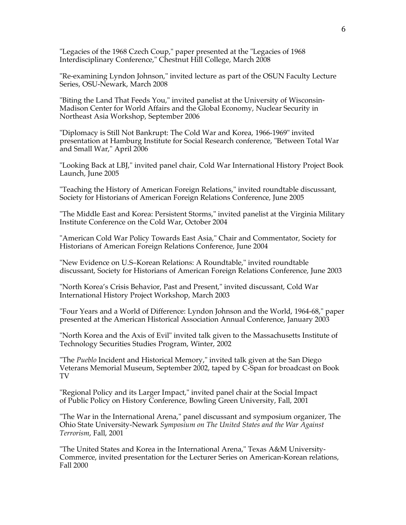"Legacies of the 1968 Czech Coup," paper presented at the "Legacies of 1968 Interdisciplinary Conference," Chestnut Hill College, March 2008

"Re-examining Lyndon Johnson," invited lecture as part of the OSUN Faculty Lecture Series, OSU-Newark, March 2008

"Biting the Land That Feeds You," invited panelist at the University of Wisconsin-Madison Center for World Affairs and the Global Economy, Nuclear Security in Northeast Asia Workshop, September 2006

"Diplomacy is Still Not Bankrupt: The Cold War and Korea, 1966-1969" invited presentation at Hamburg Institute for Social Research conference, "Between Total War and Small War," April 2006

"Looking Back at LBJ," invited panel chair, Cold War International History Project Book Launch, June 2005

"Teaching the History of American Foreign Relations," invited roundtable discussant, Society for Historians of American Foreign Relations Conference, June 2005

"The Middle East and Korea: Persistent Storms," invited panelist at the Virginia Military Institute Conference on the Cold War, October 2004

"American Cold War Policy Towards East Asia," Chair and Commentator, Society for Historians of American Foreign Relations Conference, June 2004

"New Evidence on U.S–Korean Relations: A Roundtable," invited roundtable discussant, Society for Historians of American Foreign Relations Conference, June 2003

"North Korea's Crisis Behavior, Past and Present," invited discussant, Cold War International History Project Workshop, March 2003

"Four Years and a World of Difference: Lyndon Johnson and the World, 1964-68," paper presented at the American Historical Association Annual Conference, January 2003

"North Korea and the Axis of Evil" invited talk given to the Massachusetts Institute of Technology Securities Studies Program, Winter, 2002

"The *Pueblo* Incident and Historical Memory," invited talk given at the San Diego Veterans Memorial Museum, September 2002, taped by C-Span for broadcast on Book TV

"Regional Policy and its Larger Impact," invited panel chair at the Social Impact of Public Policy on History Conference, Bowling Green University, Fall, 2001

"The War in the International Arena," panel discussant and symposium organizer, The Ohio State University-Newark *Symposium on The United States and the War Against Terrorism*, Fall, 2001

"The United States and Korea in the International Arena," Texas A&M University-Commerce, invited presentation for the Lecturer Series on American-Korean relations, Fall 2000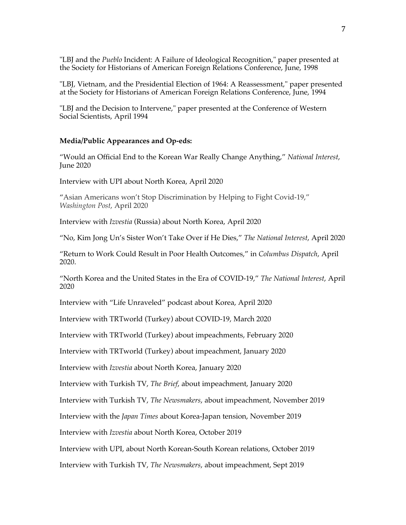"LBJ and the *Pueblo* Incident: A Failure of Ideological Recognition," paper presented at the Society for Historians of American Foreign Relations Conference, June, 1998

"LBJ, Vietnam, and the Presidential Election of 1964: A Reassessment," paper presented at the Society for Historians of American Foreign Relations Conference, June, 1994

"LBJ and the Decision to Intervene," paper presented at the Conference of Western Social Scientists, April 1994

### **Media/Public Appearances and Op-eds:**

"Would an Official End to the Korean War Really Change Anything," *National Interest*, June 2020

Interview with UPI about North Korea, April 2020

"Asian Americans won't Stop Discrimination by Helping to Fight Covid-19," *Washington Post*, April 2020

Interview with *Izvestia* (Russia) about North Korea, April 2020

"No, Kim Jong Un's Sister Won't Take Over if He Dies," *The National Interest*, April 2020

"Return to Work Could Result in Poor Health Outcomes," in *Columbus Dispatch*, April 2020.

"North Korea and the United States in the Era of COVID-19," *The National Interest*, April 2020

Interview with "Life Unraveled" podcast about Korea, April 2020

Interview with TRTworld (Turkey) about COVID-19, March 2020

Interview with TRTworld (Turkey) about impeachments, February 2020

Interview with TRTworld (Turkey) about impeachment, January 2020

Interview with *Izvestia* about North Korea, January 2020

Interview with Turkish TV, *The Brief*, about impeachment, January 2020

Interview with Turkish TV, *The Newsmakers*, about impeachment, November 2019

Interview with the *Japan Times* about Korea-Japan tension, November 2019

Interview with *Izvestia* about North Korea, October 2019

Interview with UPI, about North Korean-South Korean relations, October 2019

Interview with Turkish TV, *The Newsmakers*, about impeachment, Sept 2019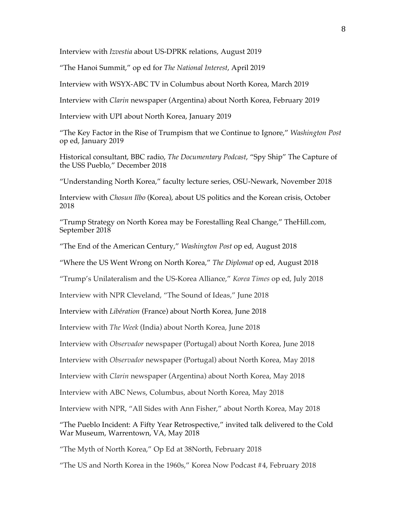Interview with *Izvestia* about US-DPRK relations, August 2019

"The Hanoi Summit," op ed for *The National Interest*, April 2019

Interview with WSYX-ABC TV in Columbus about North Korea, March 2019

Interview with *Clarin* newspaper (Argentina) about North Korea, February 2019

Interview with UPI about North Korea, January 2019

"The Key Factor in the Rise of Trumpism that we Continue to Ignore," *Washington Post* op ed, January 2019

Historical consultant, BBC radio, *The Documentary Podcast*, "Spy Ship" The Capture of the USS Pueblo," December 2018

"Understanding North Korea," faculty lecture series, OSU-Newark, November 2018

Interview with *Chosun Ilbo* (Korea), about US politics and the Korean crisis, October 2018

"Trump Strategy on North Korea may be Forestalling Real Change," TheHill.com, September 2018

"The End of the American Century," *Washington Post* op ed, August 2018

"Where the US Went Wrong on North Korea," *The Diplomat* op ed, August 2018

"Trump's Unilateralism and the US-Korea Alliance," *Korea Times* op ed, July 2018

Interview with NPR Cleveland, "The Sound of Ideas," June 2018

Interview with *Libération* (France) about North Korea, June 2018

Interview with *The Week* (India) about North Korea, June 2018

Interview with *Observador* newspaper (Portugal) about North Korea, June 2018

Interview with *Observador* newspaper (Portugal) about North Korea, May 2018

Interview with *Clarin* newspaper (Argentina) about North Korea, May 2018

Interview with ABC News, Columbus, about North Korea, May 2018

Interview with NPR, "All Sides with Ann Fisher," about North Korea, May 2018

"The Pueblo Incident: A Fifty Year Retrospective," invited talk delivered to the Cold War Museum, Warrentown, VA, May 2018

"The Myth of North Korea," Op Ed at 38North, February 2018

"The US and North Korea in the 1960s," Korea Now Podcast #4, February 2018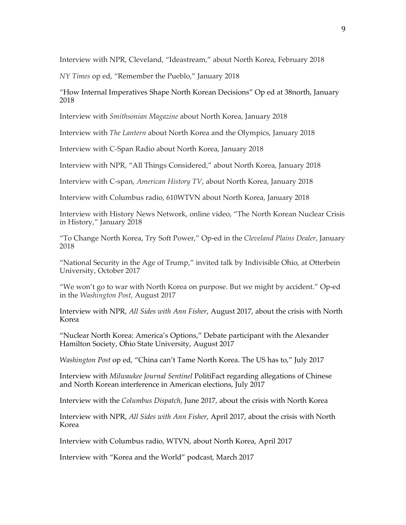Interview with NPR, Cleveland, "Ideastream," about North Korea, February 2018

*NY Times* op ed, "Remember the Pueblo," January 2018

"How Internal Imperatives Shape North Korean Decisions" Op ed at 38north, January 2018

Interview with *Smithsonian Magazine* about North Korea, January 2018

Interview with *The Lantern* about North Korea and the Olympics, January 2018

Interview with C-Span Radio about North Korea, January 2018

Interview with NPR, "All Things Considered," about North Korea, January 2018

Interview with C-span, *American History TV*, about North Korea, January 2018

Interview with Columbus radio, 610WTVN about North Korea, January 2018

Interview with History News Network, online video, "The North Korean Nuclear Crisis in History," January 2018

"To Change North Korea, Try Soft Power," Op-ed in the *Cleveland Plains Dealer*, January 2018

"National Security in the Age of Trump," invited talk by Indivisible Ohio, at Otterbein University, October 2017

"We won't go to war with North Korea on purpose. But we might by accident." Op-ed in the *Washington Post*, August 2017

Interview with NPR, *All Sides with Ann Fisher*, August 2017, about the crisis with North Korea

"Nuclear North Korea: America's Options," Debate participant with the Alexander Hamilton Society, Ohio State University, August 2017

*Washington Post* op ed, "China can't Tame North Korea. The US has to," July 2017

Interview with *Milwaukee Journal Sentinel* PolitiFact regarding allegations of Chinese and North Korean interference in American elections, July 2017

Interview with the *Columbus Dispatch*, June 2017, about the crisis with North Korea

Interview with NPR, *All Sides with Ann Fisher*, April 2017, about the crisis with North Korea

Interview with Columbus radio, WTVN, about North Korea, April 2017

Interview with "Korea and the World" podcast, March 2017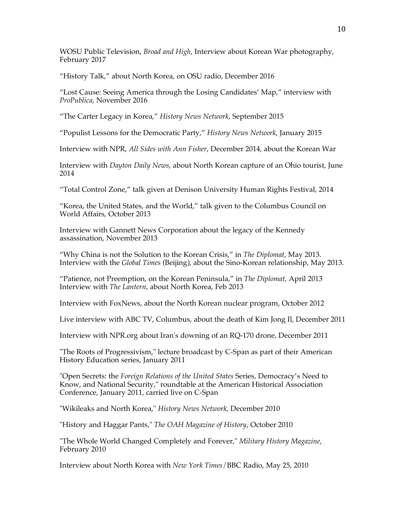WOSU Public Television, *Broad and High*, Interview about Korean War photography, February 2017

"History Talk," about North Korea, on OSU radio, December 2016

"Lost Cause: Seeing America through the Losing Candidates' Map," interview with *ProPublica*, November 2016

"The Carter Legacy in Korea," *History News Network*, September 2015

"Populist Lessons for the Democratic Party," *History News Network*, January 2015

Interview with NPR, *All Sides with Ann Fisher*, December 2014, about the Korean War

Interview with *Dayton Daily News*, about North Korean capture of an Ohio tourist, June 2014

"Total Control Zone," talk given at Denison University Human Rights Festival, 2014

"Korea, the United States, and the World," talk given to the Columbus Council on World Affairs, October 2013

Interview with Gannett News Corporation about the legacy of the Kennedy assassination, November 2013

"Why China is not the Solution to the Korean Crisis," in *The Diplomat*, May 2013. Interview with the *Global Times* (Beijing), about the Sino-Korean relationship, May 2013.

"Patience, not Preemption, on the Korean Peninsula," in *The Diplomat*, April 2013 Interview with *The Lantern*, about North Korea, Feb 2013

Interview with FoxNews, about the North Korean nuclear program, October 2012

Live interview with ABC TV, Columbus, about the death of Kim Jong Il, December 2011

Interview with NPR.org about Iran's downing of an RQ-170 drone, December 2011

"The Roots of Progressivism," lecture broadcast by C-Span as part of their American History Education series, January 2011

"Open Secrets: the *Foreign Relations of the United States* Series, Democracy's Need to Know, and National Security," roundtable at the American Historical Association Conference, January 2011, carried live on C-Span

"Wikileaks and North Korea," *History News Network*, December 2010

"History and Haggar Pants," *The OAH Magazine of History*, October 2010

"The Whole World Changed Completely and Forever," *Military History Magazine*, February 2010

Interview about North Korea with *New York Times*/BBC Radio, May 25, 2010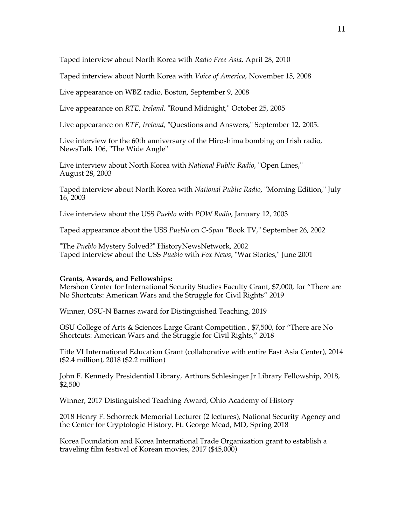Taped interview about North Korea with *Radio Free Asia*, April 28, 2010

Taped interview about North Korea with *Voice of America*, November 15, 2008

Live appearance on WBZ radio, Boston, September 9, 2008

Live appearance on *RTE, Ireland,* "Round Midnight," October 25, 2005

Live appearance on *RTE, Ireland,* "Questions and Answers," September 12, 2005.

Live interview for the 60th anniversary of the Hiroshima bombing on Irish radio, NewsTalk 106, "The Wide Angle"

Live interview about North Korea with *National Public Radio*, "Open Lines," August 28, 2003

Taped interview about North Korea with *National Public Radio*, "Morning Edition," July 16, 2003

Live interview about the USS *Pueblo* with *POW Radio*, January 12, 2003

Taped appearance about the USS *Pueblo* on *C-Span* "Book TV," September 26, 2002

"The *Pueblo* Mystery Solved?" HistoryNewsNetwork, 2002 Taped interview about the USS *Pueblo* with *Fox News*, "War Stories," June 2001

### **Grants, Awards, and Fellowships:**

Mershon Center for International Security Studies Faculty Grant, \$7,000, for "There are No Shortcuts: American Wars and the Struggle for Civil Rights" 2019

Winner, OSU-N Barnes award for Distinguished Teaching, 2019

OSU College of Arts & Sciences Large Grant Competition , \$7,500, for "There are No Shortcuts: American Wars and the Struggle for Civil Rights," 2018

Title VI International Education Grant (collaborative with entire East Asia Center), 2014 (\$2.4 million), 2018 (\$2.2 million)

John F. Kennedy Presidential Library, Arthurs Schlesinger Jr Library Fellowship, 2018, \$2,500

Winner, 2017 Distinguished Teaching Award, Ohio Academy of History

2018 Henry F. Schorreck Memorial Lecturer (2 lectures), National Security Agency and the Center for Cryptologic History, Ft. George Mead, MD, Spring 2018

Korea Foundation and Korea International Trade Organization grant to establish a traveling film festival of Korean movies, 2017 (\$45,000)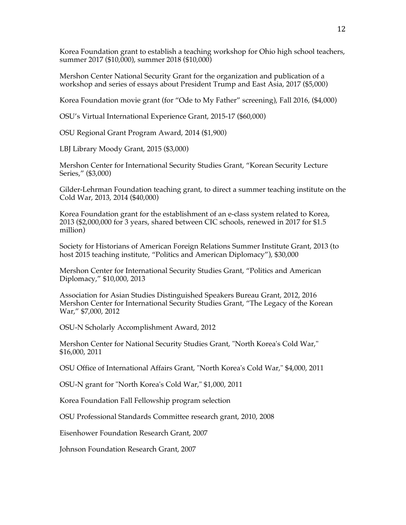Korea Foundation grant to establish a teaching workshop for Ohio high school teachers, summer 2017 (\$10,000), summer 2018 (\$10,000)

Mershon Center National Security Grant for the organization and publication of a workshop and series of essays about President Trump and East Asia, 2017 (\$5,000)

Korea Foundation movie grant (for "Ode to My Father" screening), Fall 2016, (\$4,000)

OSU's Virtual International Experience Grant, 2015-17 (\$60,000)

OSU Regional Grant Program Award, 2014 (\$1,900)

LBJ Library Moody Grant, 2015 (\$3,000)

Mershon Center for International Security Studies Grant, "Korean Security Lecture Series," (\$3,000)

Gilder-Lehrman Foundation teaching grant, to direct a summer teaching institute on the Cold War, 2013, 2014 (\$40,000)

Korea Foundation grant for the establishment of an e-class system related to Korea, 2013 (\$2,000,000 for 3 years, shared between CIC schools, renewed in 2017 for \$1.5 million)

Society for Historians of American Foreign Relations Summer Institute Grant, 2013 (to host 2015 teaching institute, "Politics and American Diplomacy"), \$30,000

Mershon Center for International Security Studies Grant, "Politics and American Diplomacy," \$10,000, 2013

Association for Asian Studies Distinguished Speakers Bureau Grant, 2012, 2016 Mershon Center for International Security Studies Grant, "The Legacy of the Korean War," \$7,000, 2012

OSU-N Scholarly Accomplishment Award, 2012

Mershon Center for National Security Studies Grant, "North Korea's Cold War," \$16,000, 2011

OSU Office of International Affairs Grant, "North Korea's Cold War," \$4,000, 2011

OSU-N grant for "North Korea's Cold War," \$1,000, 2011

Korea Foundation Fall Fellowship program selection

OSU Professional Standards Committee research grant, 2010, 2008

Eisenhower Foundation Research Grant, 2007

Johnson Foundation Research Grant, 2007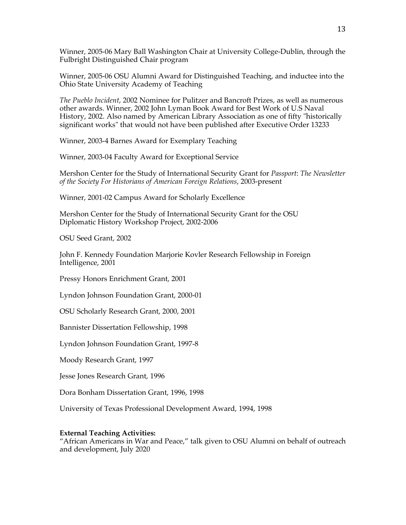Winner, 2005-06 Mary Ball Washington Chair at University College-Dublin, through the Fulbright Distinguished Chair program

Winner, 2005-06 OSU Alumni Award for Distinguished Teaching, and inductee into the Ohio State University Academy of Teaching

*The Pueblo Incident*, 2002 Nominee for Pulitzer and Bancroft Prizes*,* as well as numerous other awards. Winner, 2002 John Lyman Book Award for Best Work of U.S Naval History, 2002. Also named by American Library Association as one of fifty "historically significant works" that would not have been published after Executive Order 13233

Winner, 2003-4 Barnes Award for Exemplary Teaching

Winner, 2003-04 Faculty Award for Exceptional Service

Mershon Center for the Study of International Security Grant for *Passport*: *The Newsletter of the Society For Historians of American Foreign Relations*, 2003-present

Winner, 2001-02 Campus Award for Scholarly Excellence

Mershon Center for the Study of International Security Grant for the OSU Diplomatic History Workshop Project, 2002-2006

OSU Seed Grant, 2002

John F. Kennedy Foundation Marjorie Kovler Research Fellowship in Foreign Intelligence, 2001

Pressy Honors Enrichment Grant, 2001

Lyndon Johnson Foundation Grant, 2000-01

OSU Scholarly Research Grant, 2000, 2001

Bannister Dissertation Fellowship, 1998

Lyndon Johnson Foundation Grant, 1997-8

Moody Research Grant, 1997

Jesse Jones Research Grant, 1996

Dora Bonham Dissertation Grant, 1996, 1998

University of Texas Professional Development Award, 1994, 1998

### **External Teaching Activities:**

"African Americans in War and Peace," talk given to OSU Alumni on behalf of outreach and development, July 2020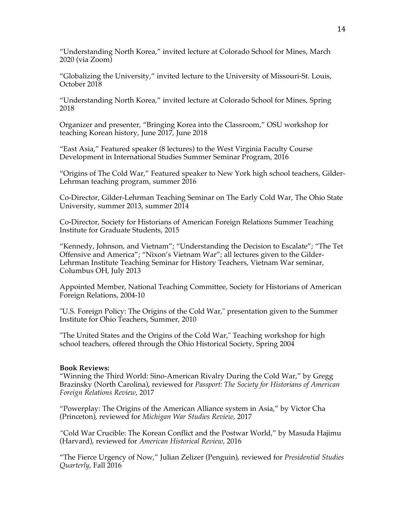"Understanding North Korea," invited lecture at Colorado School for Mines, March 2020 (via Zoom)

"Globalizing the University," invited lecture to the University of Missouri-St. Louis, October 2018

"Understanding North Korea," invited lecture at Colorado School for Mines, Spring 2018

Organizer and presenter, "Bringing Korea into the Classroom," OSU workshop for teaching Korean history, June 2017, June 2018

"East Asia," Featured speaker (8 lectures) to the West Virginia Faculty Course Development in International Studies Summer Seminar Program, 2016

"Origins of The Cold War," Featured speaker to New York high school teachers, Gilder-Lehrman teaching program, summer 2016

Co-Director, Gilder-Lehrman Teaching Seminar on The Early Cold War, The Ohio State University, summer 2013, summer 2014

Co-Director, Society for Historians of American Foreign Relations Summer Teaching Institute for Graduate Students, 2015

"Kennedy, Johnson, and Vietnam"; "Understanding the Decision to Escalate"; "The Tet Offensive and America"; "Nixon's Vietnam War"; all lectures given to the Gilder-Lehrman Institute Teaching Seminar for History Teachers, Vietnam War seminar, Columbus OH, July 2013

Appointed Member, National Teaching Committee, Society for Historians of American Foreign Relations, 2004-10

"U.S. Foreign Policy: The Origins of the Cold War," presentation given to the Summer Institute for Ohio Teachers, Summer, 2010

"The United States and the Origins of the Cold War," Teaching workshop for high school teachers, offered through the Ohio Historical Society, Spring 2004

#### **Book Reviews:**

"Winning the Third World: Sino-American Rivalry During the Cold War," by Gregg Brazinsky (North Carolina), reviewed for *Passport: The Society for Historians of American Foreign Relations Review*, 2017

"Powerplay: The Origins of the American Alliance system in Asia," by Victor Cha (Princeton), reviewed for *Michigan War Studies Review*, 2017

*"*Cold War Crucible: The Korean Conflict and the Postwar World," by Masuda Hajimu (Harvard), reviewed for *American Historical Review*, 2016

"The Fierce Urgency of Now," Julian Zelizer (Penguin), reviewed for *Presidential Studies Quarterly*, Fall 2016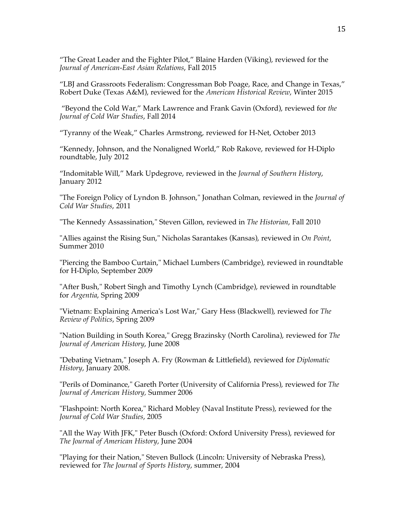"The Great Leader and the Fighter Pilot," Blaine Harden (Viking), reviewed for the *Journal of American-East Asian Relations*, Fall 2015

"LBJ and Grassroots Federalism: Congressman Bob Poage, Race, and Change in Texas," Robert Duke (Texas A&M), reviewed for the *American Historical Review*, Winter 2015

"Beyond the Cold War," Mark Lawrence and Frank Gavin (Oxford), reviewed for *the Journal of Cold War Studies*, Fall 2014

"Tyranny of the Weak," Charles Armstrong, reviewed for H-Net, October 2013

"Kennedy, Johnson, and the Nonaligned World," Rob Rakove, reviewed for H-Diplo roundtable, July 2012

"Indomitable Will," Mark Updegrove, reviewed in the *Journal of Southern History*, January 2012

"The Foreign Policy of Lyndon B. Johnson," Jonathan Colman, reviewed in the *Journal of Cold War Studies*, 2011

"The Kennedy Assassination," Steven Gillon, reviewed in *The Historian*, Fall 2010

"Allies against the Rising Sun," Nicholas Sarantakes (Kansas), reviewed in *On Point*, Summer 2010

"Piercing the Bamboo Curtain," Michael Lumbers (Cambridge), reviewed in roundtable for H-Diplo, September 2009

"After Bush," Robert Singh and Timothy Lynch (Cambridge), reviewed in roundtable for *Argentia*, Spring 2009

"Vietnam: Explaining America's Lost War," Gary Hess (Blackwell), reviewed for *The Review of Politics*, Spring 2009

"Nation Building in South Korea," Gregg Brazinsky (North Carolina), reviewed for *The Journal of American History*, June 2008

"Debating Vietnam," Joseph A. Fry (Rowman & Littlefield), reviewed for *Diplomatic History*, January 2008.

"Perils of Dominance," Gareth Porter (University of California Press), reviewed for *The Journal of American History,* Summer 2006

"Flashpoint: North Korea," Richard Mobley (Naval Institute Press), reviewed for the *Journal of Cold War Studies*, 2005

"All the Way With JFK," Peter Busch (Oxford: Oxford University Press), reviewed for *The Journal of American History*, June 2004

"Playing for their Nation," Steven Bullock (Lincoln: University of Nebraska Press), reviewed for *The Journal of Sports History*, summer, 2004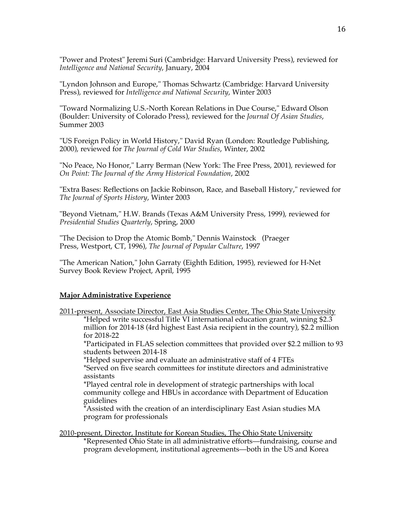"Power and Protest" Jeremi Suri (Cambridge: Harvard University Press), reviewed for *Intelligence and National Security*, January, 2004

"Lyndon Johnson and Europe," Thomas Schwartz (Cambridge: Harvard University Press), reviewed for *Intelligence and National Security*, Winter 2003

"Toward Normalizing U.S.-North Korean Relations in Due Course," Edward Olson (Boulder: University of Colorado Press), reviewed for the *Journal Of Asian Studies*, Summer 2003

"US Foreign Policy in World History," David Ryan (London: Routledge Publishing, 2000), reviewed for *The Journal of Cold War Studies*, Winter, 2002

"No Peace, No Honor," Larry Berman (New York: The Free Press, 2001), reviewed for *On Point: The Journal of the Army Historical Foundation*, 2002

"Extra Bases: Reflections on Jackie Robinson, Race, and Baseball History," reviewed for *The Journal of Sports History*, Winter 2003

"Beyond Vietnam," H.W. Brands (Texas A&M University Press, 1999), reviewed for *Presidential Studies Quarterly*, Spring, 2000

"The Decision to Drop the Atomic Bomb," Dennis Wainstock (Praeger Press, Westport, CT, 1996), *The Journal of Popular Culture*, 1997

"The American Nation," John Garraty (Eighth Edition, 1995), reviewed for H-Net Survey Book Review Project, April, 1995

# **Major Administrative Experience**

2011-present, Associate Director, East Asia Studies Center, The Ohio State University \*Helped write successful Title VI international education grant, winning \$2.3 million for 2014-18 (4rd highest East Asia recipient in the country), \$2.2 million for 2018-22

\*Participated in FLAS selection committees that provided over \$2.2 million to 93 students between 2014-18

\*Helped supervise and evaluate an administrative staff of 4 FTEs \*Served on five search committees for institute directors and administrative assistants

\*Played central role in development of strategic partnerships with local community college and HBUs in accordance with Department of Education guidelines

\*Assisted with the creation of an interdisciplinary East Asian studies MA program for professionals

2010-present, Director, Institute for Korean Studies, The Ohio State University **\***Represented Ohio State in all administrative efforts––fundraising, course and program development, institutional agreements––both in the US and Korea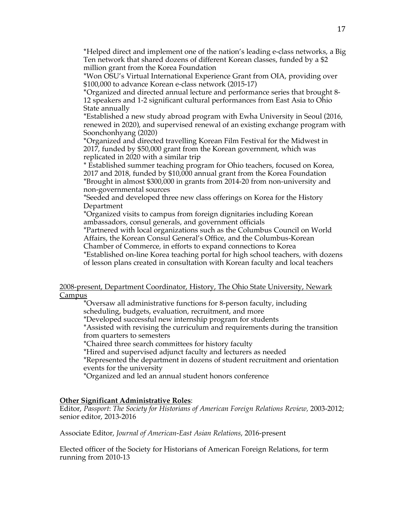**\***Helped direct and implement one of the nation's leading e-class networks, a Big Ten network that shared dozens of different Korean classes, funded by a \$2 million grant from the Korea Foundation

\*Won OSU's Virtual International Experience Grant from OIA, providing over \$100,000 to advance Korean e-class network (2015-17)

**\***Organized and directed annual lecture and performance series that brought 8- 12 speakers and 1-2 significant cultural performances from East Asia to Ohio State annually

\*Established a new study abroad program with Ewha University in Seoul (2016, renewed in 2020), and supervised renewal of an existing exchange program with Soonchonhyang (2020)

**\***Organized and directed travelling Korean Film Festival for the Midwest in 2017, funded by \$50,000 grant from the Korean government, which was replicated in 2020 with a similar trip

\* Established summer teaching program for Ohio teachers, focused on Korea, 2017 and 2018, funded by \$10,000 annual grant from the Korea Foundation \*Brought in almost \$300,000 in grants from 2014-20 from non-university and non-governmental sources

\*Seeded and developed three new class offerings on Korea for the History Department

\*Organized visits to campus from foreign dignitaries including Korean ambassadors, consul generals, and government officials

\*Partnered with local organizations such as the Columbus Council on World Affairs, the Korean Consul General's Office, and the Columbus-Korean

Chamber of Commerce, in efforts to expand connections to Korea

\*Established on-line Korea teaching portal for high school teachers, with dozens of lesson plans created in consultation with Korean faculty and local teachers

## 2008-present, Department Coordinator, History, The Ohio State University, Newark **Campus**

\*Oversaw all administrative functions for 8-person faculty, including scheduling, budgets, evaluation, recruitment, and more

\*Developed successful new internship program for students

\*Assisted with revising the curriculum and requirements during the transition from quarters to semesters

\*Chaired three search committees for history faculty

\*Hired and supervised adjunct faculty and lecturers as needed

\*Represented the department in dozens of student recruitment and orientation events for the university

\*Organized and led an annual student honors conference

# **Other Significant Administrative Roles**:

Editor, *Passport*: *The Society for Historians of American Foreign Relations Review,* 2003-2012; senior editor, 2013-2016

Associate Editor, *Journal of American-East Asian Relations*, 2016-present

Elected officer of the Society for Historians of American Foreign Relations, for term running from 2010-13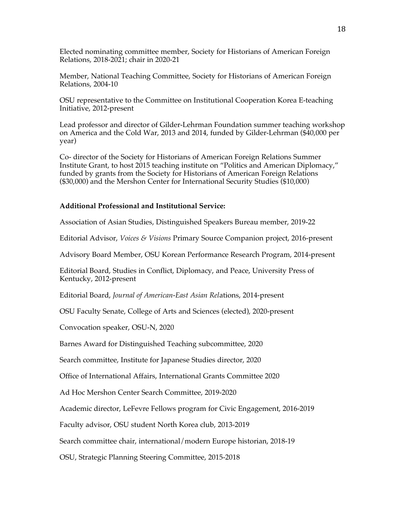Elected nominating committee member, Society for Historians of American Foreign Relations, 2018-2021; chair in 2020-21

Member, National Teaching Committee, Society for Historians of American Foreign Relations, 2004-10

OSU representative to the Committee on Institutional Cooperation Korea E-teaching Initiative, 2012-present

Lead professor and director of Gilder-Lehrman Foundation summer teaching workshop on America and the Cold War, 2013 and 2014, funded by Gilder-Lehrman (\$40,000 per year)

Co- director of the Society for Historians of American Foreign Relations Summer Institute Grant, to host 2015 teaching institute on "Politics and American Diplomacy," funded by grants from the Society for Historians of American Foreign Relations (\$30,000) and the Mershon Center for International Security Studies (\$10,000)

### **Additional Professional and Institutional Service:**

Association of Asian Studies, Distinguished Speakers Bureau member, 2019-22

Editorial Advisor, *Voices & Visions* Primary Source Companion project, 2016-present

Advisory Board Member, OSU Korean Performance Research Program, 2014-present

Editorial Board, Studies in Conflict, Diplomacy, and Peace, University Press of Kentucky, 2012-present

Editorial Board, *Journal of American-East Asian Rel*ations, 2014-present

OSU Faculty Senate, College of Arts and Sciences (elected), 2020-present

Convocation speaker, OSU-N, 2020

Barnes Award for Distinguished Teaching subcommittee, 2020

Search committee, Institute for Japanese Studies director, 2020

Office of International Affairs, International Grants Committee 2020

Ad Hoc Mershon Center Search Committee, 2019-2020

Academic director, LeFevre Fellows program for Civic Engagement, 2016-2019

Faculty advisor, OSU student North Korea club, 2013-2019

Search committee chair, international/modern Europe historian, 2018-19

OSU, Strategic Planning Steering Committee, 2015-2018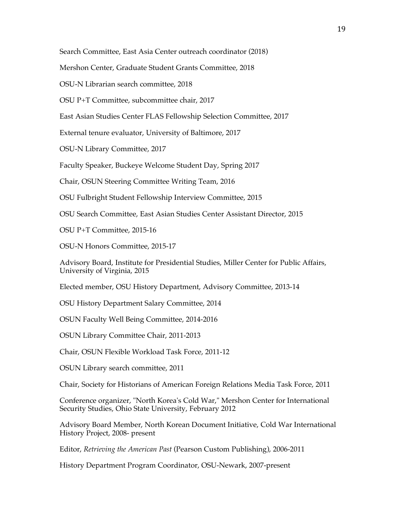Search Committee, East Asia Center outreach coordinator (2018)

Mershon Center, Graduate Student Grants Committee, 2018

OSU-N Librarian search committee, 2018

OSU P+T Committee, subcommittee chair, 2017

East Asian Studies Center FLAS Fellowship Selection Committee, 2017

External tenure evaluator, University of Baltimore, 2017

OSU-N Library Committee, 2017

Faculty Speaker, Buckeye Welcome Student Day, Spring 2017

Chair, OSUN Steering Committee Writing Team, 2016

OSU Fulbright Student Fellowship Interview Committee, 2015

OSU Search Committee, East Asian Studies Center Assistant Director, 2015

OSU P+T Committee, 2015-16

OSU-N Honors Committee, 2015-17

Advisory Board, Institute for Presidential Studies, Miller Center for Public Affairs, University of Virginia, 2015

Elected member, OSU History Department, Advisory Committee, 2013-14

OSU History Department Salary Committee, 2014

OSUN Faculty Well Being Committee, 2014-2016

OSUN Library Committee Chair, 2011-2013

Chair, OSUN Flexible Workload Task Force, 2011-12

OSUN Library search committee, 2011

Chair, Society for Historians of American Foreign Relations Media Task Force, 2011

Conference organizer, "North Korea's Cold War," Mershon Center for International Security Studies, Ohio State University, February 2012

Advisory Board Member, North Korean Document Initiative, Cold War International History Project, 2008- present

Editor, *Retrieving the American Past* (Pearson Custom Publishing), 2006-2011

History Department Program Coordinator, OSU-Newark, 2007-present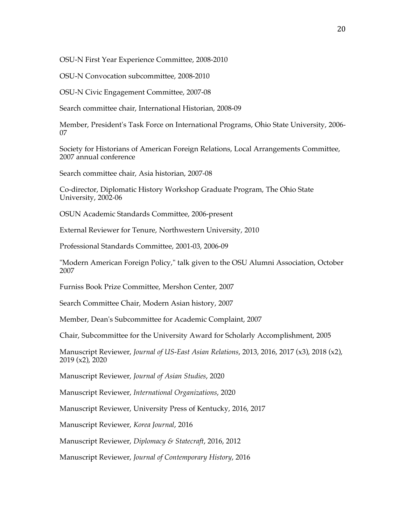OSU-N First Year Experience Committee, 2008-2010

OSU-N Convocation subcommittee, 2008-2010

OSU-N Civic Engagement Committee, 2007-08

Search committee chair, International Historian, 2008-09

Member, President's Task Force on International Programs, Ohio State University, 2006- 07

Society for Historians of American Foreign Relations, Local Arrangements Committee, 2007 annual conference

Search committee chair, Asia historian, 2007-08

Co-director, Diplomatic History Workshop Graduate Program, The Ohio State University, 2002-06

OSUN Academic Standards Committee, 2006-present

External Reviewer for Tenure, Northwestern University, 2010

Professional Standards Committee, 2001-03, 2006-09

"Modern American Foreign Policy," talk given to the OSU Alumni Association, October 2007

Furniss Book Prize Committee, Mershon Center, 2007

Search Committee Chair, Modern Asian history, 2007

Member, Dean's Subcommittee for Academic Complaint, 2007

Chair, Subcommittee for the University Award for Scholarly Accomplishment, 2005

Manuscript Reviewer, *Journal of US-East Asian Relations*, 2013, 2016, 2017 (x3), 2018 (x2), 2019 (x2), 2020

Manuscript Reviewer, *Journal of Asian Studies*, 2020

Manuscript Reviewer, *International Organizations*, 2020

Manuscript Reviewer, University Press of Kentucky, 2016, 2017

Manuscript Reviewer, *Korea Journal*, 2016

Manuscript Reviewer, *Diplomacy & Statecraft*, 2016, 2012

Manuscript Reviewer, *Journal of Contemporary History*, 2016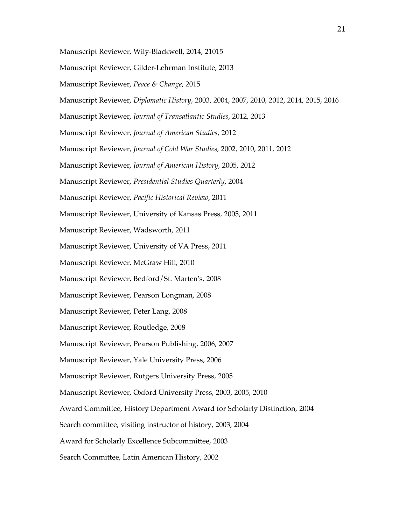Manuscript Reviewer, Wily-Blackwell, 2014, 21015 Manuscript Reviewer, Gilder-Lehrman Institute, 2013 Manuscript Reviewer, *Peace & Change*, 2015 Manuscript Reviewer, *Diplomatic History*, 2003, 2004, 2007, 2010, 2012, 2014, 2015, 2016 Manuscript Reviewer, *Journal of Transatlantic Studies*, 2012, 2013 Manuscript Reviewer, *Journal of American Studies*, 2012 Manuscript Reviewer, *Journal of Cold War Studies*, 2002, 2010, 2011, 2012 Manuscript Reviewer, *Journal of American History*, 2005, 2012 Manuscript Reviewer, *Presidential Studies Quarterly*, 2004 Manuscript Reviewer, *Pacific Historical Review*, 2011 Manuscript Reviewer, University of Kansas Press, 2005, 2011 Manuscript Reviewer, Wadsworth, 2011 Manuscript Reviewer, University of VA Press, 2011 Manuscript Reviewer, McGraw Hill, 2010 Manuscript Reviewer, Bedford/St. Marten's, 2008 Manuscript Reviewer, Pearson Longman, 2008 Manuscript Reviewer, Peter Lang, 2008 Manuscript Reviewer, Routledge, 2008 Manuscript Reviewer, Pearson Publishing, 2006, 2007 Manuscript Reviewer, Yale University Press, 2006 Manuscript Reviewer, Rutgers University Press, 2005 Manuscript Reviewer, Oxford University Press, 2003, 2005, 2010 Award Committee, History Department Award for Scholarly Distinction, 2004 Search committee, visiting instructor of history, 2003, 2004 Award for Scholarly Excellence Subcommittee, 2003 Search Committee, Latin American History, 2002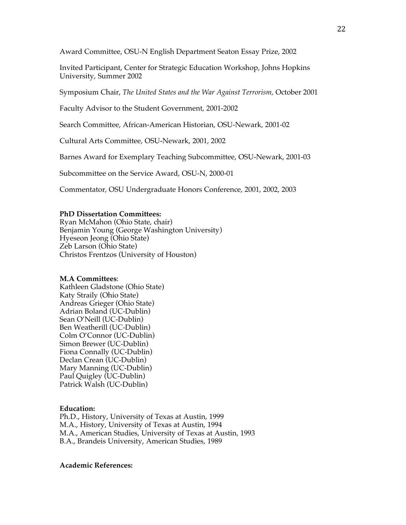Award Committee, OSU-N English Department Seaton Essay Prize, 2002

Invited Participant, Center for Strategic Education Workshop, Johns Hopkins University, Summer 2002

Symposium Chair, *The United States and the War Against Terrorism,* October 2001

Faculty Advisor to the Student Government, 2001-2002

Search Committee, African-American Historian, OSU-Newark, 2001-02

Cultural Arts Committee, OSU-Newark, 2001, 2002

Barnes Award for Exemplary Teaching Subcommittee, OSU-Newark, 2001-03

Subcommittee on the Service Award, OSU-N, 2000-01

Commentator, OSU Undergraduate Honors Conference, 2001, 2002, 2003

### **PhD Dissertation Committees:**

Ryan McMahon (Ohio State, chair) Benjamin Young (George Washington University) Hyeseon Jeong (Ohio State) Zeb Larson (Ohio State) Christos Frentzos (University of Houston)

### **M.A Committees**:

Kathleen Gladstone (Ohio State) Katy Straily (Ohio State) Andreas Grieger (Ohio State) Adrian Boland (UC-Dublin) Sean O'Neill (UC-Dublin) Ben Weatherill (UC-Dublin) Colm O'Connor (UC-Dublin) Simon Brewer (UC-Dublin) Fiona Connally (UC-Dublin) Declan Crean (UC-Dublin) Mary Manning (UC-Dublin) Paul Quigley (UC-Dublin) Patrick Walsh (UC-Dublin)

# **Education:**

Ph.D., History, University of Texas at Austin, 1999 M.A., History, University of Texas at Austin, 1994 M.A., American Studies, University of Texas at Austin, 1993 B.A., Brandeis University, American Studies, 1989

### **Academic References:**